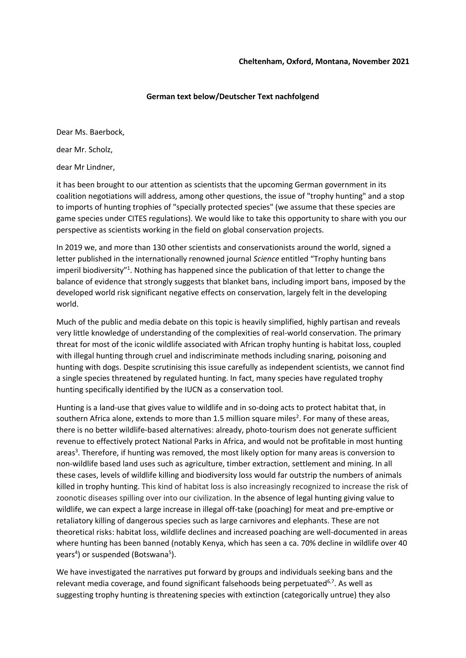## **German text below/Deutscher Text nachfolgend**

Dear Ms. Baerbock,

dear Mr. Scholz,

dear Mr Lindner,

it has been brought to our attention as scientists that the upcoming German government in its coalition negotiations will address, among other questions, the issue of "trophy hunting" and a stop to imports of hunting trophies of "specially protected species" (we assume that these species are game species under CITES regulations). We would like to take this opportunity to share with you our perspective as scientists working in the field on global conservation projects.

In 2019 we, and more than 130 other scientists and conservationists around the world, signed a letter published in the internationally renowned journal *Science* entitled "Trophy hunting bans imperil biodiversity"<sup>1</sup>. Nothing has happened since the publication of that letter to change the balance of evidence that strongly suggests that blanket bans, including import bans, imposed by the developed world risk significant negative effects on conservation, largely felt in the developing world.

Much of the public and media debate on this topic is heavily simplified, highly partisan and reveals very little knowledge of understanding of the complexities of real-world conservation. The primary threat for most of the iconic wildlife associated with African trophy hunting is habitat loss, coupled with illegal hunting through cruel and indiscriminate methods including snaring, poisoning and hunting with dogs. Despite scrutinising this issue carefully as independent scientists, we cannot find a single species threatened by regulated hunting. In fact, many species have regulated trophy hunting specifically identified by the IUCN as a conservation tool.

Hunting is a land-use that gives value to wildlife and in so-doing acts to protect habitat that, in southern Africa alone, extends to more than 1.5 million square miles<sup>2</sup>. For many of these areas, there is no better wildlife-based alternatives: already, photo-tourism does not generate sufficient revenue to effectively protect National Parks in Africa, and would not be profitable in most hunting areas<sup>3</sup>. Therefore, if hunting was removed, the most likely option for many areas is conversion to non-wildlife based land uses such as agriculture, timber extraction, settlement and mining. In all these cases, levels of wildlife killing and biodiversity loss would far outstrip the numbers of animals killed in trophy hunting. This kind of habitat loss is also increasingly recognized to increase the risk of zoonotic diseases spilling over into our civilization. In the absence of legal hunting giving value to wildlife, we can expect a large increase in illegal off-take (poaching) for meat and pre-emptive or retaliatory killing of dangerous species such as large carnivores and elephants. These are not theoretical risks: habitat loss, wildlife declines and increased poaching are well-documented in areas where hunting has been banned (notably Kenya, which has seen a ca. 70% decline in wildlife over 40 years<sup>4</sup>) or suspended (Botswana<sup>5</sup>).

We have investigated the narratives put forward by groups and individuals seeking bans and the relevant media coverage, and found significant falsehoods being perpetuated<sup>6,7</sup>. As well as suggesting trophy hunting is threatening species with extinction (categorically untrue) they also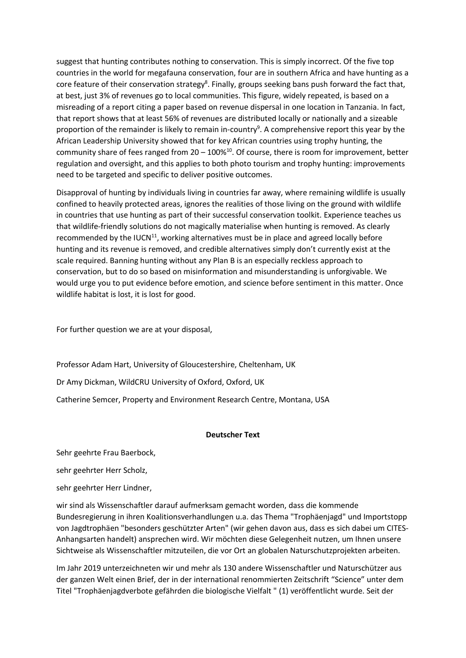suggest that hunting contributes nothing to conservation. This is simply incorrect. Of the five top countries in the world for megafauna conservation, four are in southern Africa and have hunting as a core feature of their conservation strategy<sup>8</sup>. Finally, groups seeking bans push forward the fact that, at best, just 3% of revenues go to local communities. This figure, widely repeated, is based on a misreading of a report citing a paper based on revenue dispersal in one location in Tanzania. In fact, that report shows that at least 56% of revenues are distributed locally or nationally and a sizeable proportion of the remainder is likely to remain in-country<sup>9</sup>. A comprehensive report this year by the African Leadership University showed that for key African countries using trophy hunting, the community share of fees ranged from 20 – 100%<sup>10</sup>. Of course, there is room for improvement, better regulation and oversight, and this applies to both photo tourism and trophy hunting: improvements need to be targeted and specific to deliver positive outcomes.

Disapproval of hunting by individuals living in countries far away, where remaining wildlife is usually confined to heavily protected areas, ignores the realities of those living on the ground with wildlife in countries that use hunting as part of their successful conservation toolkit. Experience teaches us that wildlife-friendly solutions do not magically materialise when hunting is removed. As clearly recommended by the IUCN $11$ , working alternatives must be in place and agreed locally before hunting and its revenue is removed, and credible alternatives simply don't currently exist at the scale required. Banning hunting without any Plan B is an especially reckless approach to conservation, but to do so based on misinformation and misunderstanding is unforgivable. We would urge you to put evidence before emotion, and science before sentiment in this matter. Once wildlife habitat is lost, it is lost for good.

For further question we are at your disposal,

Professor Adam Hart, University of Gloucestershire, Cheltenham, UK

Dr Amy Dickman, WildCRU University of Oxford, Oxford, UK

Catherine Semcer, Property and Environment Research Centre, Montana, USA

## **Deutscher Text**

Sehr geehrte Frau Baerbock,

sehr geehrter Herr Scholz,

sehr geehrter Herr Lindner,

wir sind als Wissenschaftler darauf aufmerksam gemacht worden, dass die kommende Bundesregierung in ihren Koalitionsverhandlungen u.a. das Thema "Trophäenjagd" und Importstopp von Jagdtrophäen "besonders geschützter Arten" (wir gehen davon aus, dass es sich dabei um CITES-Anhangsarten handelt) ansprechen wird. Wir möchten diese Gelegenheit nutzen, um Ihnen unsere Sichtweise als Wissenschaftler mitzuteilen, die vor Ort an globalen Naturschutzprojekten arbeiten.

Im Jahr 2019 unterzeichneten wir und mehr als 130 andere Wissenschaftler und Naturschützer aus der ganzen Welt einen Brief, der in der international renommierten Zeitschrift "Science" unter dem Titel "Trophäenjagdverbote gefährden die biologische Vielfalt " (1) veröffentlicht wurde. Seit der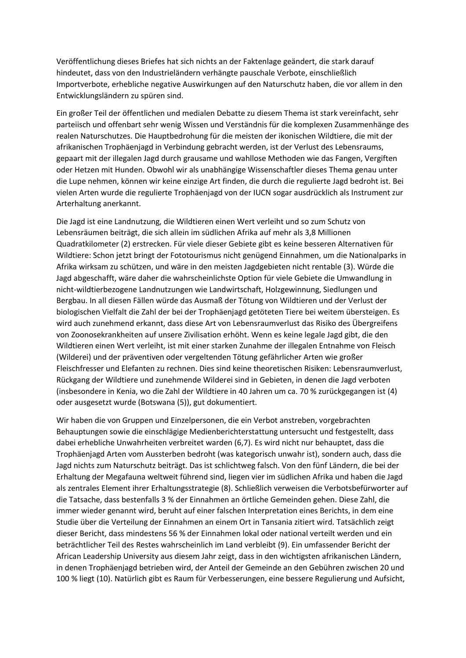Veröffentlichung dieses Briefes hat sich nichts an der Faktenlage geändert, die stark darauf hindeutet, dass von den Industrieländern verhängte pauschale Verbote, einschließlich Importverbote, erhebliche negative Auswirkungen auf den Naturschutz haben, die vor allem in den Entwicklungsländern zu spüren sind.

Ein großer Teil der öffentlichen und medialen Debatte zu diesem Thema ist stark vereinfacht, sehr parteiisch und offenbart sehr wenig Wissen und Verständnis für die komplexen Zusammenhänge des realen Naturschutzes. Die Hauptbedrohung für die meisten der ikonischen Wildtiere, die mit der afrikanischen Trophäenjagd in Verbindung gebracht werden, ist der Verlust des Lebensraums, gepaart mit der illegalen Jagd durch grausame und wahllose Methoden wie das Fangen, Vergiften oder Hetzen mit Hunden. Obwohl wir als unabhängige Wissenschaftler dieses Thema genau unter die Lupe nehmen, können wir keine einzige Art finden, die durch die regulierte Jagd bedroht ist. Bei vielen Arten wurde die regulierte Trophäenjagd von der IUCN sogar ausdrücklich als Instrument zur Arterhaltung anerkannt.

Die Jagd ist eine Landnutzung, die Wildtieren einen Wert verleiht und so zum Schutz von Lebensräumen beiträgt, die sich allein im südlichen Afrika auf mehr als 3,8 Millionen Quadratkilometer (2) erstrecken. Für viele dieser Gebiete gibt es keine besseren Alternativen für Wildtiere: Schon jetzt bringt der Fototourismus nicht genügend Einnahmen, um die Nationalparks in Afrika wirksam zu schützen, und wäre in den meisten Jagdgebieten nicht rentable (3). Würde die Jagd abgeschafft, wäre daher die wahrscheinlichste Option für viele Gebiete die Umwandlung in nicht-wildtierbezogene Landnutzungen wie Landwirtschaft, Holzgewinnung, Siedlungen und Bergbau. In all diesen Fällen würde das Ausmaß der Tötung von Wildtieren und der Verlust der biologischen Vielfalt die Zahl der bei der Trophäenjagd getöteten Tiere bei weitem übersteigen. Es wird auch zunehmend erkannt, dass diese Art von Lebensraumverlust das Risiko des Übergreifens von Zoonosekrankheiten auf unsere Zivilisation erhöht. Wenn es keine legale Jagd gibt, die den Wildtieren einen Wert verleiht, ist mit einer starken Zunahme der illegalen Entnahme von Fleisch (Wilderei) und der präventiven oder vergeltenden Tötung gefährlicher Arten wie großer Fleischfresser und Elefanten zu rechnen. Dies sind keine theoretischen Risiken: Lebensraumverlust, Rückgang der Wildtiere und zunehmende Wilderei sind in Gebieten, in denen die Jagd verboten (insbesondere in Kenia, wo die Zahl der Wildtiere in 40 Jahren um ca. 70 % zurückgegangen ist (4) oder ausgesetzt wurde (Botswana (5)), gut dokumentiert.

Wir haben die von Gruppen und Einzelpersonen, die ein Verbot anstreben, vorgebrachten Behauptungen sowie die einschlägige Medienberichterstattung untersucht und festgestellt, dass dabei erhebliche Unwahrheiten verbreitet warden (6,7). Es wird nicht nur behauptet, dass die Trophäenjagd Arten vom Aussterben bedroht (was kategorisch unwahr ist), sondern auch, dass die Jagd nichts zum Naturschutz beiträgt. Das ist schlichtweg falsch. Von den fünf Ländern, die bei der Erhaltung der Megafauna weltweit führend sind, liegen vier im südlichen Afrika und haben die Jagd als zentrales Element ihrer Erhaltungsstrategie (8). Schließlich verweisen die Verbotsbefürworter auf die Tatsache, dass bestenfalls 3 % der Einnahmen an örtliche Gemeinden gehen. Diese Zahl, die immer wieder genannt wird, beruht auf einer falschen Interpretation eines Berichts, in dem eine Studie über die Verteilung der Einnahmen an einem Ort in Tansania zitiert wird. Tatsächlich zeigt dieser Bericht, dass mindestens 56 % der Einnahmen lokal oder national verteilt werden und ein beträchtlicher Teil des Restes wahrscheinlich im Land verbleibt (9). Ein umfassender Bericht der African Leadership University aus diesem Jahr zeigt, dass in den wichtigsten afrikanischen Ländern, in denen Trophäenjagd betrieben wird, der Anteil der Gemeinde an den Gebühren zwischen 20 und 100 % liegt (10). Natürlich gibt es Raum für Verbesserungen, eine bessere Regulierung und Aufsicht,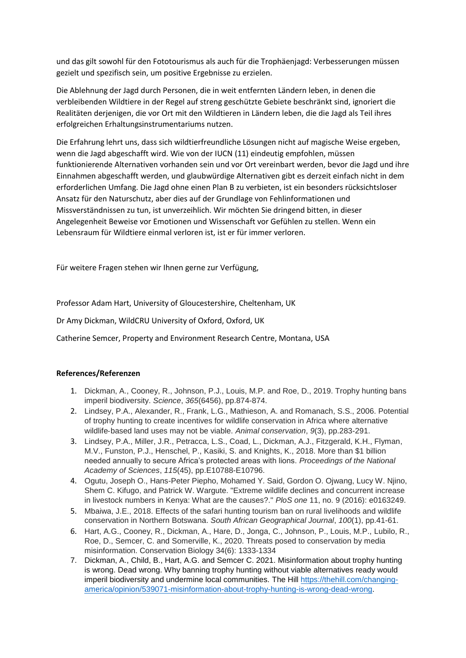und das gilt sowohl für den Fototourismus als auch für die Trophäenjagd: Verbesserungen müssen gezielt und spezifisch sein, um positive Ergebnisse zu erzielen.

Die Ablehnung der Jagd durch Personen, die in weit entfernten Ländern leben, in denen die verbleibenden Wildtiere in der Regel auf streng geschützte Gebiete beschränkt sind, ignoriert die Realitäten derjenigen, die vor Ort mit den Wildtieren in Ländern leben, die die Jagd als Teil ihres erfolgreichen Erhaltungsinstrumentariums nutzen.

Die Erfahrung lehrt uns, dass sich wildtierfreundliche Lösungen nicht auf magische Weise ergeben, wenn die Jagd abgeschafft wird. Wie von der IUCN (11) eindeutig empfohlen, müssen funktionierende Alternativen vorhanden sein und vor Ort vereinbart werden, bevor die Jagd und ihre Einnahmen abgeschafft werden, und glaubwürdige Alternativen gibt es derzeit einfach nicht in dem erforderlichen Umfang. Die Jagd ohne einen Plan B zu verbieten, ist ein besonders rücksichtsloser Ansatz für den Naturschutz, aber dies auf der Grundlage von Fehlinformationen und Missverständnissen zu tun, ist unverzeihlich. Wir möchten Sie dringend bitten, in dieser Angelegenheit Beweise vor Emotionen und Wissenschaft vor Gefühlen zu stellen. Wenn ein Lebensraum für Wildtiere einmal verloren ist, ist er für immer verloren.

Für weitere Fragen stehen wir Ihnen gerne zur Verfügung,

Professor Adam Hart, University of Gloucestershire, Cheltenham, UK

Dr Amy Dickman, WildCRU University of Oxford, Oxford, UK

Catherine Semcer, Property and Environment Research Centre, Montana, USA

## **References/Referenzen**

- 1. Dickman, A., Cooney, R., Johnson, P.J., Louis, M.P. and Roe, D., 2019. Trophy hunting bans imperil biodiversity. *Science*, *365*(6456), pp.874-874.
- 2. Lindsey, P.A., Alexander, R., Frank, L.G., Mathieson, A. and Romanach, S.S., 2006. Potential of trophy hunting to create incentives for wildlife conservation in Africa where alternative wildlife‐based land uses may not be viable. *Animal conservation*, *9*(3), pp.283-291.
- 3. Lindsey, P.A., Miller, J.R., Petracca, L.S., Coad, L., Dickman, A.J., Fitzgerald, K.H., Flyman, M.V., Funston, P.J., Henschel, P., Kasiki, S. and Knights, K., 2018. More than \$1 billion needed annually to secure Africa's protected areas with lions. *Proceedings of the National Academy of Sciences*, *115*(45), pp.E10788-E10796.
- 4. Ogutu, Joseph O., Hans-Peter Piepho, Mohamed Y. Said, Gordon O. Ojwang, Lucy W. Njino, Shem C. Kifugo, and Patrick W. Wargute. "Extreme wildlife declines and concurrent increase in livestock numbers in Kenya: What are the causes?." *PloS one* 11, no. 9 (2016): e0163249.
- 5. Mbaiwa, J.E., 2018. Effects of the safari hunting tourism ban on rural livelihoods and wildlife conservation in Northern Botswana. *South African Geographical Journal*, *100*(1), pp.41-61.
- 6. Hart, A.G., Cooney, R., Dickman, A., Hare, D., Jonga, C., Johnson, P., Louis, M.P., Lubilo, R., Roe, D., Semcer, C. and Somerville, K., 2020. Threats posed to conservation by media misinformation. Conservation Biology 34(6): 1333-1334
- 7. Dickman, A., Child, B., Hart, A.G. and Semcer C. 2021. Misinformation about trophy hunting is wrong. Dead wrong. Why banning trophy hunting without viable alternatives ready would imperil biodiversity and undermine local communities. The Hill [https://thehill.com/changing](https://thehill.com/changing-america/opinion/539071-misinformation-about-trophy-hunting-is-wrong-dead-wrong)[america/opinion/539071-misinformation-about-trophy-hunting-is-wrong-dead-wrong.](https://thehill.com/changing-america/opinion/539071-misinformation-about-trophy-hunting-is-wrong-dead-wrong)